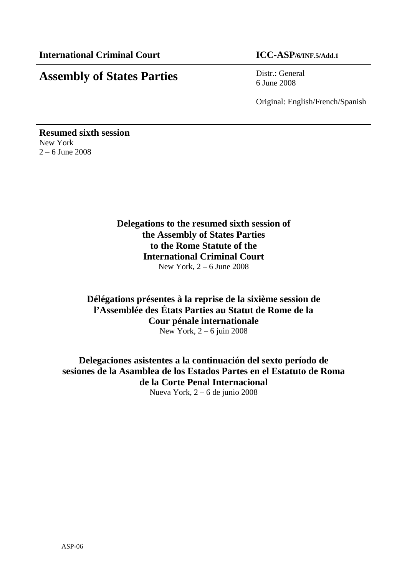# **Assembly of States Parties** Distr.: General

6 June 2008

Original: English/French/Spanish

**Resumed sixth session**  New York  $2 - 6$  June 2008

# **Delegations to the resumed sixth session of the Assembly of States Parties to the Rome Statute of the International Criminal Court**  New York, 2 – 6 June 2008

# **Délégations présentes à la reprise de la sixième session de l'Assemblée des États Parties au Statut de Rome de la Cour pénale internationale**  New York, 2 – 6 juin 2008

**Delegaciones asistentes a la continuación del sexto período de sesiones de la Asamblea de los Estados Partes en el Estatuto de Roma de la Corte Penal Internacional**  Nueva York, 2 – 6 de junio 2008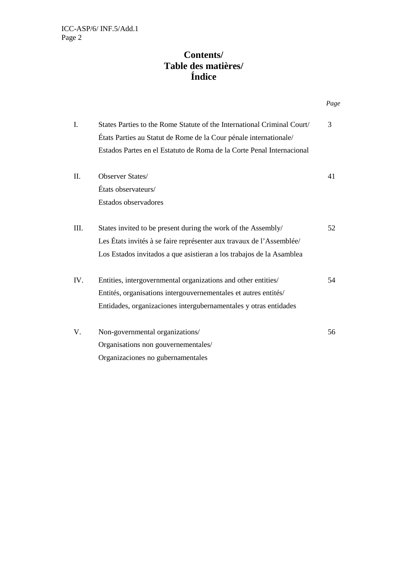# **Contents/ Table des matières/ Índice**

|      |                                                                         | Page |
|------|-------------------------------------------------------------------------|------|
| I.   | States Parties to the Rome Statute of the International Criminal Court/ | 3    |
|      | États Parties au Statut de Rome de la Cour pénale internationale/       |      |
|      | Estados Partes en el Estatuto de Roma de la Corte Penal Internacional   |      |
| II.  | Observer States/                                                        | 41   |
|      | États observateurs/                                                     |      |
|      | Estados observadores                                                    |      |
| III. | States invited to be present during the work of the Assembly/           | 52   |
|      | Les États invités à se faire représenter aux travaux de l'Assemblée/    |      |
|      | Los Estados invitados a que asistieran a los trabajos de la Asamblea    |      |
| IV.  | Entities, intergovernmental organizations and other entities/           | 54   |
|      | Entités, organisations intergouvernementales et autres entités/         |      |
|      | Entidades, organizaciones intergubernamentales y otras entidades        |      |
| V.   | Non-governmental organizations/                                         | 56   |
|      | Organisations non gouvernementales/                                     |      |
|      | Organizaciones no gubernamentales                                       |      |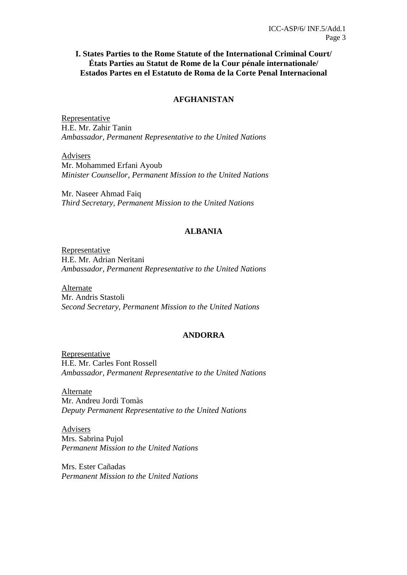**I. States Parties to the Rome Statute of the International Criminal Court/ États Parties au Statut de Rome de la Cour pénale internationale/ Estados Partes en el Estatuto de Roma de la Corte Penal Internacional** 

#### **AFGHANISTAN**

Representative H.E. Mr. Zahir Tanin *Ambassador, Permanent Representative to the United Nations* 

Advisers Mr. Mohammed Erfani Ayoub *Minister Counsellor, Permanent Mission to the United Nations* 

Mr. Naseer Ahmad Faiq *Third Secretary, Permanent Mission to the United Nations* 

### **ALBANIA**

Representative H.E. Mr. Adrian Neritani *Ambassador, Permanent Representative to the United Nations* 

Alternate Mr. Andris Stastoli *Second Secretary, Permanent Mission to the United Nations* 

#### **ANDORRA**

Representative H.E. Mr. Carles Font Rossell *Ambassador, Permanent Representative to the United Nations* 

Alternate Mr. Andreu Jordi Tomàs *Deputy Permanent Representative to the United Nations* 

Advisers Mrs. Sabrina Pujol *Permanent Mission to the United Nations* 

Mrs. Ester Cañadas *Permanent Mission to the United Nations*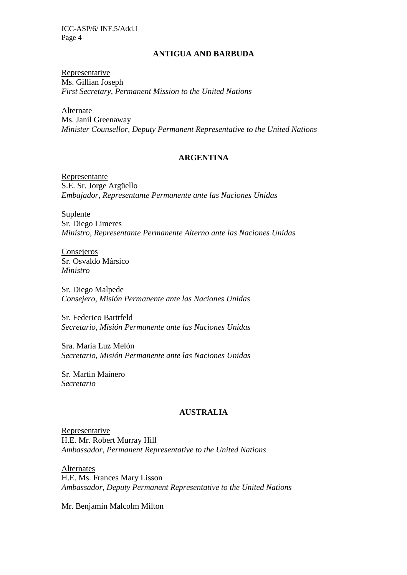### **ANTIGUA AND BARBUDA**

Representative Ms. Gillian Joseph *First Secretary, Permanent Mission to the United Nations* 

Alternate Ms. Janil Greenaway *Minister Counsellor, Deputy Permanent Representative to the United Nations*

### **ARGENTINA**

Representante S.E. Sr. Jorge Argüello *Embajador, Representante Permanente ante las Naciones Unidas* 

Suplente Sr. Diego Limeres *Ministro, Representante Permanente Alterno ante las Naciones Unidas* 

Consejeros Sr. Osvaldo Mársico *Ministro* 

Sr. Diego Malpede *Consejero, Misión Permanente ante las Naciones Unidas* 

Sr. Federico Barttfeld *Secretario, Misión Permanente ante las Naciones Unidas* 

Sra. María Luz Melón *Secretario, Misión Permanente ante las Naciones Unidas* 

Sr. Martin Mainero *Secretario* 

# **AUSTRALIA**

Representative H.E. Mr. Robert Murray Hill *Ambassador*, *Permanent Representative to the United Nations* 

Alternates H.E. Ms. Frances Mary Lisson *Ambassador, Deputy Permanent Representative to the United Nations* 

Mr. Benjamin Malcolm Milton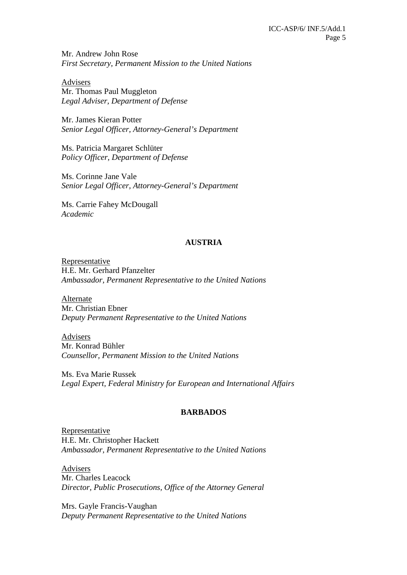Mr. Andrew John Rose *First Secretary, Permanent Mission to the United Nations* 

Advisers Mr. Thomas Paul Muggleton *Legal Adviser, Department of Defense* 

Mr. James Kieran Potter *Senior Legal Officer, Attorney-General's Department*

Ms. Patricia Margaret Schlüter *Policy Officer, Department of Defense* 

Ms. Corinne Jane Vale *Senior Legal Officer, Attorney-General's Department*

Ms. Carrie Fahey McDougall *Academic* 

# **AUSTRIA**

Representative H.E. Mr. Gerhard Pfanzelter *Ambassador, Permanent Representative to the United Nations* 

Alternate Mr. Christian Ebner *Deputy Permanent Representative to the United Nations* 

Advisers Mr. Konrad Bühler *Counsellor, Permanent Mission to the United Nations*

Ms. Eva Marie Russek *Legal Expert, Federal Ministry for European and International Affairs* 

### **BARBADOS**

Representative H.E. Mr. Christopher Hackett *Ambassador, Permanent Representative to the United Nations* 

Advisers Mr. Charles Leacock *Director, Public Prosecutions, Office of the Attorney General* 

Mrs. Gayle Francis-Vaughan *Deputy Permanent Representative to the United Nations*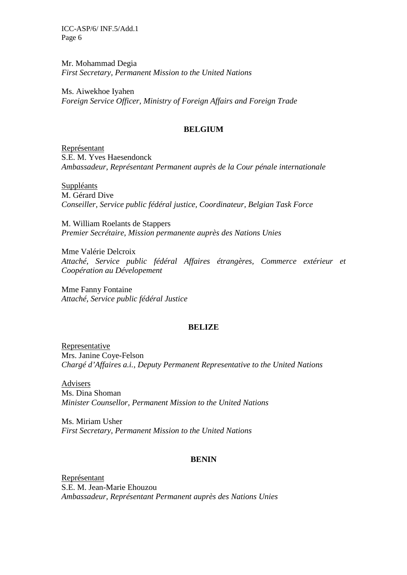Mr. Mohammad Degia *First Secretary, Permanent Mission to the United Nations* 

Ms. Aiwekhoe Iyahen *Foreign Service Officer, Ministry of Foreign Affairs and Foreign Trade*

#### **BELGIUM**

Représentant S.E. M. Yves Haesendonck *Ambassadeur, Représentant Permanent auprès de la Cour pénale internationale* 

Suppléants M. Gérard Dive *Conseiller, Service public fédéral justice, Coordinateur, Belgian Task Force* 

M. William Roelants de Stappers *Premier Secrétaire, Mission permanente auprès des Nations Unies* 

Mme Valérie Delcroix *Attaché, Service public fédéral Affaires étrangères, Commerce extérieur et Coopération au Dévelopement* 

Mme Fanny Fontaine *Attaché, Service public fédéral Justice* 

#### **BELIZE**

Representative Mrs. Janine Coye-Felson *Chargé d'Affaires a.i., Deputy Permanent Representative to the United Nations* 

Advisers Ms. Dina Shoman *Minister Counsellor, Permanent Mission to the United Nations* 

Ms. Miriam Usher *First Secretary, Permanent Mission to the United Nations*

### **BENIN**

Représentant S.E. M. Jean-Marie Ehouzou *Ambassadeur, Représentant Permanent auprès des Nations Unies*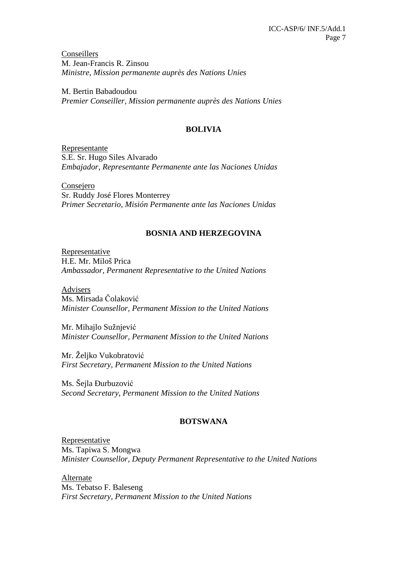Conseillers M. Jean-Francis R. Zinsou *Ministre, Mission permanente auprès des Nations Unies* 

M. Bertin Babadoudou *Premier Conseiller, Mission permanente auprès des Nations Unies* 

### **BOLIVIA**

Representante S.E. Sr. Hugo Siles Alvarado *Embajador, Representante Permanente ante las Naciones Unidas* 

Consejero Sr. Ruddy José Flores Monterrey *Primer Secretario, Misión Permanente ante las Naciones Unidas*

### **BOSNIA AND HERZEGOVINA**

Representative H.E. Mr. Miloš Prica *Ambassador, Permanent Representative to the United Nations* 

Advisers Ms. Mirsada Čolaković *Minister Counsellor, Permanent Mission to the United Nations* 

Mr. Mihajlo Sužnjević *Minister Counsellor, Permanent Mission to the United Nations* 

Mr. Željko Vukobratović *First Secretary, Permanent Mission to the United Nations* 

Ms. Šejla Ðurbuzović *Second Secretary, Permanent Mission to the United Nations*

### **BOTSWANA**

Representative Ms. Tapiwa S. Mongwa *Minister Counsellor, Deputy Permanent Representative to the United Nations* 

Alternate Ms. Tebatso F. Baleseng *First Secretary, Permanent Mission to the United Nations*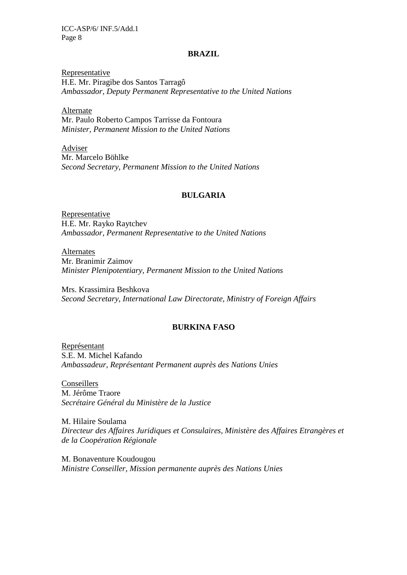#### **BRAZIL**

Representative H.E. Mr. Piragibe dos Santos Tarragô *Ambassador, Deputy Permanent Representative to the United Nations* 

Alternate Mr. Paulo Roberto Campos Tarrisse da Fontoura *Minister, Permanent Mission to the United Nations* 

Adviser Mr. Marcelo Böhlke *Second Secretary, Permanent Mission to the United Nations* 

### **BULGARIA**

Representative H.E. Mr. Rayko Raytchev *Ambassador, Permanent Representative to the United Nations* 

Alternates Mr. Branimir Zaimov *Minister Plenipotentiary, Permanent Mission to the United Nations* 

Mrs. Krassimira Beshkova *Second Secretary, International Law Directorate, Ministry of Foreign Affairs* 

### **BURKINA FASO**

Représentant S.E. M. Michel Kafando *Ambassadeur, Représentant Permanent auprès des Nations Unies* 

Conseillers M. Jérôme Traore *Secrétaire Général du Ministère de la Justice* 

M. Hilaire Soulama *Directeur des Affaires Juridiques et Consulaires, Ministère des Affaires Etrangères et de la Coopération Régionale* 

M. Bonaventure Koudougou *Ministre Conseiller, Mission permanente auprès des Nations Unies*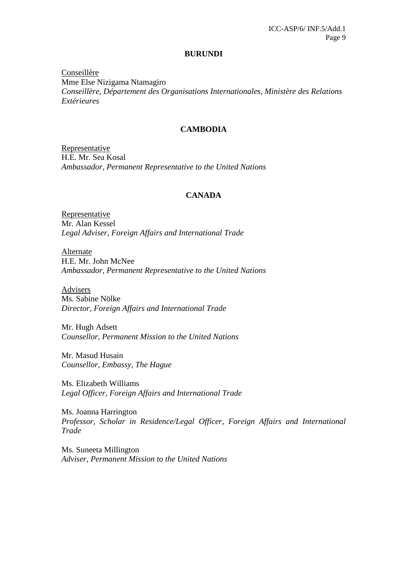#### **BURUNDI**

Conseillère Mme Else Nizigama Ntamagiro *Conseillère, Département des Organisations Internationales, Ministère des Relations Extérieures* 

#### **CAMBODIA**

Representative H.E. Mr. Sea Kosal *Ambassador, Permanent Representative to the United Nations*

### **CANADA**

Representative Mr. Alan Kessel *Legal Adviser, Foreign Affairs and International Trade* 

Alternate H.E. Mr. John McNee *Ambassador, Permanent Representative to the United Nations* 

Advisers Ms. Sabine Nölke *Director, Foreign Affairs and International Trade* 

Mr. Hugh Adsett *Counsellor, Permanent Mission to the United Nations*

Mr. Masud Husain *Counsellor, Embassy, The Hague* 

Ms. Elizabeth Williams *Legal Officer, Foreign Affairs and International Trade* 

Ms. Joanna Harrington *Professor, Scholar in Residence/Legal Officer, Foreign Affairs and International Trade* 

Ms. Suneeta Millington *Adviser, Permanent Mission to the United Nations*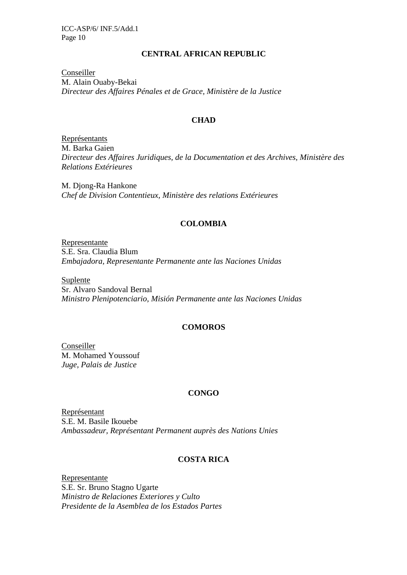### **CENTRAL AFRICAN REPUBLIC**

Conseiller M. Alain Ouaby-Bekai *Directeur des Affaires Pénales et de Grace, Ministère de la Justice* 

### **CHAD**

Représentants M. Barka Gaien *Directeur des Affaires Juridiques, de la Documentation et des Archives, Ministère des Relations Extérieures* 

M. Djong-Ra Hankone *Chef de Division Contentieux, Ministère des relations Extérieures* 

### **COLOMBIA**

Representante S.E. Sra. Claudia Blum *Embajadora, Representante Permanente ante las Naciones Unidas* 

Suplente Sr. Alvaro Sandoval Bernal *Ministro Plenipotenciario, Misión Permanente ante las Naciones Unidas* 

### **COMOROS**

Conseiller M. Mohamed Youssouf *Juge, Palais de Justice* 

# **CONGO**

Représentant S.E. M. Basile Ikouebe *Ambassadeur, Représentant Permanent auprès des Nations Unies*

# **COSTA RICA**

Representante S.E. Sr. Bruno Stagno Ugarte *Ministro de Relaciones Exteriores y Culto Presidente de la Asemblea de los Estados Partes*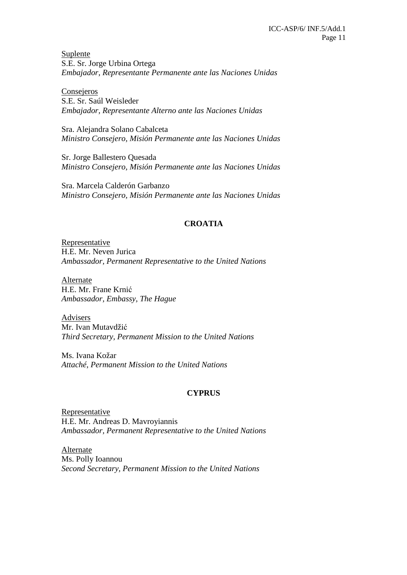Suplente S.E. Sr. Jorge Urbina Ortega *Embajador, Representante Permanente ante las Naciones Unidas* 

**Consejeros** S.E. Sr. Saúl Weisleder *Embajador, Representante Alterno ante las Naciones Unidas* 

Sra. Alejandra Solano Cabalceta *Ministro Consejero, Misión Permanente ante las Naciones Unidas* 

Sr. Jorge Ballestero Quesada *Ministro Consejero, Misión Permanente ante las Naciones Unidas* 

Sra. Marcela Calderón Garbanzo *Ministro Consejero, Misión Permanente ante las Naciones Unidas*

### **CROATIA**

**Representative** H.E. Mr. Neven Jurica *Ambassador, Permanent Representative to the United Nations* 

Alternate H.E. Mr. Frane Krnić *Ambassador, Embassy, The Hague* 

Advisers Mr. Ivan Mutavdžić *Third Secretary, Permanent Mission to the United Nations* 

Ms. Ivana Kožar *Attaché, Permanent Mission to the United Nations* 

# **CYPRUS**

Representative H.E. Mr. Andreas D. Mavroyiannis *Ambassador, Permanent Representative to the United Nations* 

Alternate Ms. Polly Ioannou *Second Secretary, Permanent Mission to the United Nations*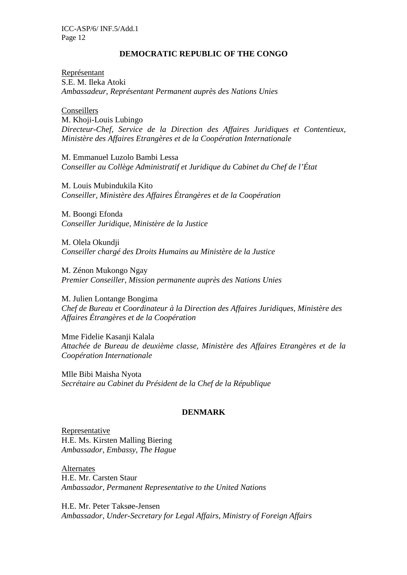### **DEMOCRATIC REPUBLIC OF THE CONGO**

Représentant S.E. M. Ileka Atoki *Ambassadeur, Représentant Permanent auprès des Nations Unies* 

Conseillers M. Khoji-Louis Lubingo *Directeur-Chef, Service de la Direction des Affaires Juridiques et Contentieux, Ministère des Affaires Etrangères et de la Coopération Internationale*

M. Emmanuel Luzolo Bambi Lessa *Conseiller au Collège Administratif et Juridique du Cabinet du Chef de l'État*

M. Louis Mubindukila Kito *Conseiller, Ministère des Affaires Étrangères et de la Coopération* 

M. Boongi Efonda *Conseiller Juridique, Ministère de la Justice* 

M. Olela Okundji *Conseiller chargé des Droits Humains au Ministère de la Justice* 

M. Zénon Mukongo Ngay *Premier Conseiller, Mission permanente auprès des Nations Unies* 

M. Julien Lontange Bongima *Chef de Bureau et Coordinateur à la Direction des Affaires Juridiques, Ministère des Affaires Étrangères et de la Coopération* 

Mme Fidelie Kasanji Kalala *Attachée de Bureau de deuxième classe, Ministère des Affaires Etrangères et de la Coopération Internationale*

Mlle Bibi Maisha Nyota *Secrétaire au Cabinet du Président de la Chef de la République* 

#### **DENMARK**

Representative H.E. Ms. Kirsten Malling Biering *Ambassador, Embassy, The Hague* 

**Alternates** H.E. Mr. Carsten Staur *Ambassador, Permanent Representative to the United Nations* 

H.E. Mr. Peter Taksøe-Jensen *Ambassador, Under-Secretary for Legal Affairs, Ministry of Foreign Affairs*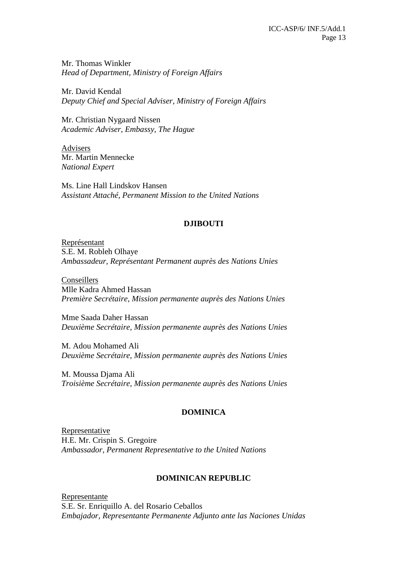Mr. Thomas Winkler *Head of Department, Ministry of Foreign Affairs* 

Mr. David Kendal *Deputy Chief and Special Adviser, Ministry of Foreign Affairs* 

Mr. Christian Nygaard Nissen *Academic Adviser, Embassy, The Hague* 

Advisers Mr. Martin Mennecke *National Expert* 

Ms. Line Hall Lindskov Hansen *Assistant Attaché, Permanent Mission to the United Nations*

### **DJIBOUTI**

Représentant S.E. M. Robleh Olhaye *Ambassadeur, Représentant Permanent auprès des Nations Unies* 

Conseillers Mlle Kadra Ahmed Hassan *Première Secrétaire, Mission permanente auprès des Nations Unies* 

Mme Saada Daher Hassan *Deuxième Secrétaire, Mission permanente auprès des Nations Unies* 

M. Adou Mohamed Ali *Deuxième Secrétaire, Mission permanente auprès des Nations Unies* 

M. Moussa Djama Ali *Troisième Secrétaire, Mission permanente auprès des Nations Unies*

# **DOMINICA**

Representative H.E. Mr. Crispin S. Gregoire *Ambassador, Permanent Representative to the United Nations*

### **DOMINICAN REPUBLIC**

Representante S.E. Sr. Enriquillo A. del Rosario Ceballos *Embajador, Representante Permanente Adjunto ante las Naciones Unidas*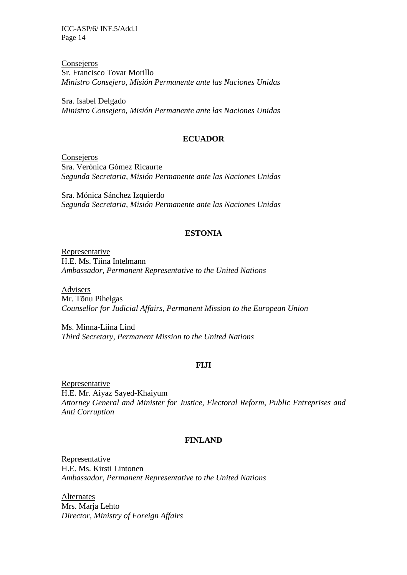Consejeros Sr. Francisco Tovar Morillo *Ministro Consejero, Misión Permanente ante las Naciones Unidas* 

Sra. Isabel Delgado *Ministro Consejero, Misión Permanente ante las Naciones Unidas*

### **ECUADOR**

Consejeros Sra. Verónica Gómez Ricaurte *Segunda Secretaria, Misión Permanente ante las Naciones Unidas* 

Sra. Mónica Sánchez Izquierdo *Segunda Secretaria, Misión Permanente ante las Naciones Unidas*

### **ESTONIA**

Representative H.E. Ms. Tiina Intelmann *Ambassador, Permanent Representative to the United Nations* 

Advisers Mr. Tõnu Pihelgas *Counsellor for Judicial Affairs, Permanent Mission to the European Union* 

Ms. Minna-Liina Lind *Third Secretary, Permanent Mission to the United Nations*

#### **FIJI**

**Representative** H.E. Mr. Aiyaz Sayed-Khaiyum *Attorney General and Minister for Justice, Electoral Reform, Public Entreprises and Anti Corruption* 

#### **FINLAND**

Representative H.E. Ms. Kirsti Lintonen *Ambassador, Permanent Representative to the United Nations* 

Alternates Mrs. Marja Lehto *Director, Ministry of Foreign Affairs*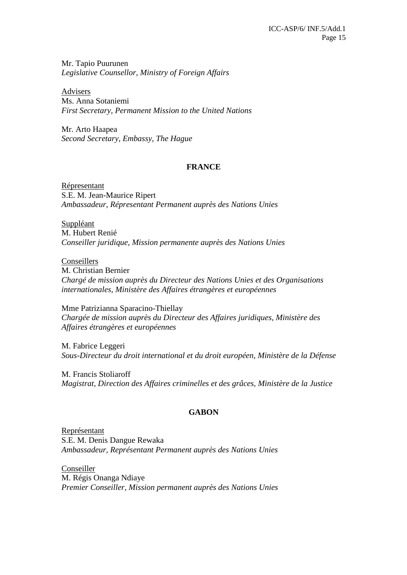Mr. Tapio Puurunen *Legislative Counsellor, Ministry of Foreign Affairs*

Advisers Ms. Anna Sotaniemi *First Secretary, Permanent Mission to the United Nations* 

Mr. Arto Haapea *Second Secretary, Embassy, The Hague* 

### **FRANCE**

Répresentant S.E. M. Jean-Maurice Ripert *Ambassadeur, Répresentant Permanent auprès des Nations Unies* 

Suppléant M. Hubert Renié *Conseiller juridique, Mission permanente auprès des Nations Unies* 

Conseillers M. Christian Bernier *Chargé de mission auprès du Directeur des Nations Unies et des Organisations internationales, Ministère des Affaires étrangères et européennes* 

Mme Patrizianna Sparacino-Thiellay *Chargée de mission auprès du Directeur des Affaires juridiques, Ministère des Affaires étrangères et européennes* 

M. Fabrice Leggeri *Sous-Directeur du droit international et du droit européen, Ministère de la Défense* 

M. Francis Stoliaroff *Magistrat, Direction des Affaires criminelles et des grâces, Ministère de la Justice*

# **GABON**

Représentant S.E. M. Denis Dangue Rewaka *Ambassadeur, Représentant Permanent auprès des Nations Unies* 

Conseiller M. Régis Onanga Ndiaye *Premier Conseiller, Mission permanent auprès des Nations Unies*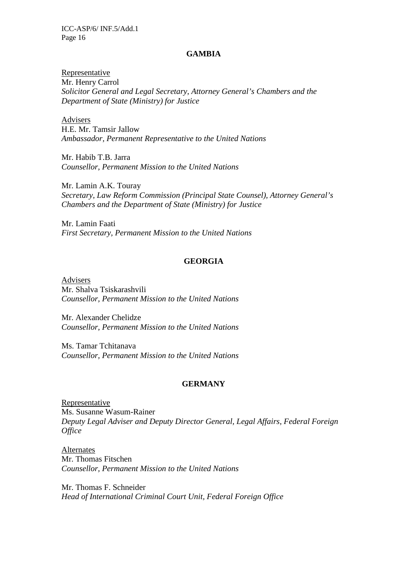#### **GAMBIA**

Representative Mr. Henry Carrol *Solicitor General and Legal Secretary*, *Attorney General's Chambers and the Department of State (Ministry) for Justice* 

Advisers H.E. Mr. Tamsir Jallow *Ambassador, Permanent Representative to the United Nations* 

Mr. Habib T.B. Jarra *Counsellor, Permanent Mission to the United Nations*

Mr. Lamin A.K. Touray *Secretary, Law Reform Commission (Principal State Counsel), Attorney General's Chambers and the Department of State (Ministry) for Justice* 

Mr. Lamin Faati *First Secretary, Permanent Mission to the United Nations*

### **GEORGIA**

Advisers Mr. Shalva Tsiskarashvili *Counsellor, Permanent Mission to the United Nations*

Mr. Alexander Chelidze *Counsellor, Permanent Mission to the United Nations*

Ms. Tamar Tchitanava *Counsellor, Permanent Mission to the United Nations*

#### **GERMANY**

Representative Ms. Susanne Wasum-Rainer *Deputy Legal Adviser and Deputy Director General, Legal Affairs, Federal Foreign Office* 

Alternates Mr. Thomas Fitschen *Counsellor, Permanent Mission to the United Nations*

Mr. Thomas F. Schneider *Head of International Criminal Court Unit, Federal Foreign Office*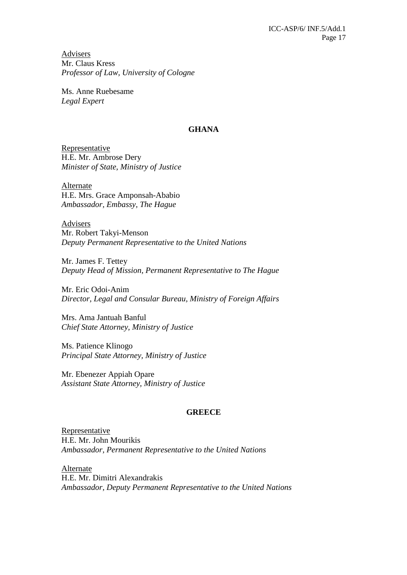Advisers Mr. Claus Kress *Professor of Law, University of Cologne* 

Ms. Anne Ruebesame *Legal Expert* 

### **GHANA**

Representative H.E. Mr. Ambrose Dery *Minister of State, Ministry of Justice* 

Alternate H.E. Mrs. Grace Amponsah-Ababio *Ambassador, Embassy, The Hague* 

Advisers Mr. Robert Takyi-Menson *Deputy Permanent Representative to the United Nations* 

Mr. James F. Tettey *Deputy Head of Mission, Permanent Representative to The Hague* 

Mr. Eric Odoi-Anim *Director, Legal and Consular Bureau, Ministry of Foreign Affairs* 

Mrs. Ama Jantuah Banful *Chief State Attorney, Ministry of Justice* 

Ms. Patience Klinogo *Principal State Attorney, Ministry of Justice* 

Mr. Ebenezer Appiah Opare *Assistant State Attorney, Ministry of Justice* 

### **GREECE**

Representative H.E. Mr. John Mourikis *Ambassador, Permanent Representative to the United Nations* 

Alternate H.E. Mr. Dimitri Alexandrakis *Ambassador, Deputy Permanent Representative to the United Nations*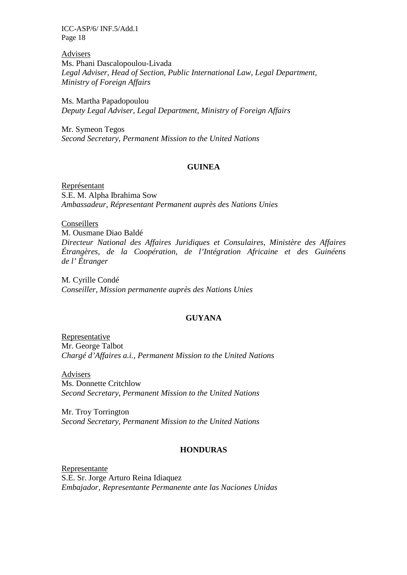Advisers Ms. Phani Dascalopoulou-Livada *Legal Adviser, Head of Section, Public International Law, Legal Department, Ministry of Foreign Affairs* 

Ms. Martha Papadopoulou *Deputy Legal Adviser, Legal Department, Ministry of Foreign Affairs* 

Mr. Symeon Tegos *Second Secretary, Permanent Mission to the United Nations* 

### **GUINEA**

Représentant S.E. M. Alpha Ibrahima Sow *Ambassadeur, Répresentant Permanent auprès des Nations Unies* 

Conseillers M. Ousmane Diao Baldé *Directeur National des Affaires Juridiques et Consulaires, Ministère des Affaires Étrangères, de la Coopération, de l'Intégration Africaine et des Guinéens de l' Étranger* 

M. Cyrille Condé *Conseiller, Mission permanente auprès des Nations Unies* 

#### **GUYANA**

Representative Mr. George Talbot *Chargé d'Affaires a.i., Permanent Mission to the United Nations* 

Advisers Ms. Donnette Critchlow *Second Secretary, Permanent Mission to the United Nations* 

Mr. Troy Torrington *Second Secretary, Permanent Mission to the United Nations*

### **HONDURAS**

Representante S.E. Sr. Jorge Arturo Reina Idiaquez *Embajador, Representante Permanente ante las Naciones Unidas*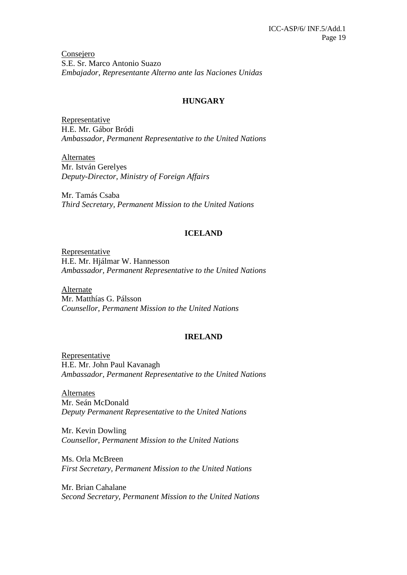Consejero S.E. Sr. Marco Antonio Suazo *Embajador, Representante Alterno ante las Naciones Unidas*

### **HUNGARY**

Representative H.E. Mr. Gábor Bródi *Ambassador, Permanent Representative to the United Nations* 

Alternates Mr. István Gerelyes *Deputy-Director, Ministry of Foreign Affairs* 

Mr. Tamás Csaba *Third Secretary, Permanent Mission to the United Nations*

### **ICELAND**

Representative H.E. Mr. Hjálmar W. Hannesson *Ambassador, Permanent Representative to the United Nations* 

Alternate Mr. Matthías G. Pálsson *Counsellor, Permanent Mission to the United Nations*

#### **IRELAND**

Representative H.E. Mr. John Paul Kavanagh *Ambassador, Permanent Representative to the United Nations* 

**Alternates** Mr. Seán McDonald *Deputy Permanent Representative to the United Nations* 

Mr. Kevin Dowling *Counsellor, Permanent Mission to the United Nations*

Ms. Orla McBreen *First Secretary, Permanent Mission to the United Nations* 

Mr. Brian Cahalane *Second Secretary, Permanent Mission to the United Nations*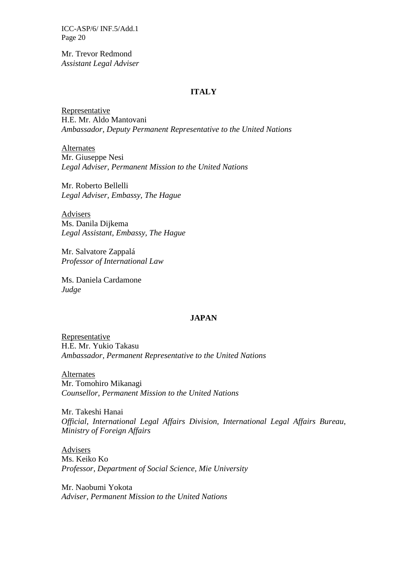Mr. Trevor Redmond *Assistant Legal Adviser* 

#### **ITALY**

Representative H.E. Mr. Aldo Mantovani *Ambassador, Deputy Permanent Representative to the United Nations* 

Alternates Mr. Giuseppe Nesi *Legal Adviser, Permanent Mission to the United Nations* 

Mr. Roberto Bellelli *Legal Adviser, Embassy, The Hague* 

Advisers Ms. Danila Dijkema *Legal Assistant, Embassy, The Hague* 

Mr. Salvatore Zappalá *Professor of International Law* 

Ms. Daniela Cardamone *Judge*

### **JAPAN**

Representative H.E. Mr. Yukio Takasu *Ambassador, Permanent Representative to the United Nations* 

Alternates Mr. Tomohiro Mikanagi *Counsellor, Permanent Mission to the United Nations* 

Mr. Takeshi Hanai *Official, International Legal Affairs Division, International Legal Affairs Bureau, Ministry of Foreign Affairs* 

Advisers Ms. Keiko Ko *Professor, Department of Social Science, Mie University* 

Mr. Naobumi Yokota *Adviser, Permanent Mission to the United Nations*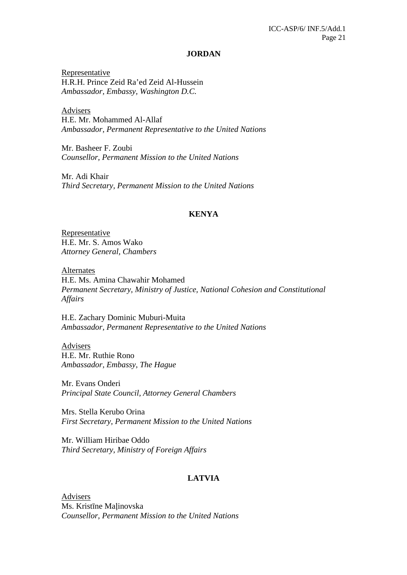#### **JORDAN**

Representative H.R.H. Prince Zeid Ra'ed Zeid Al-Hussein *Ambassador, Embassy, Washington D.C.* 

Advisers H.E. Mr. Mohammed Al-Allaf *Ambassador, Permanent Representative to the United Nations* 

Mr. Basheer F. Zoubi *Counsellor, Permanent Mission to the United Nations*

Mr. Adi Khair *Third Secretary, Permanent Mission to the United Nations* 

#### **KENYA**

Representative H.E. Mr. S. Amos Wako *Attorney General, Chambers* 

Alternates H.E. Ms. Amina Chawahir Mohamed *Permanent Secretary, Ministry of Justice, National Cohesion and Constitutional Affairs* 

H.E. Zachary Dominic Muburi-Muita *Ambassador, Permanent Representative to the United Nations* 

Advisers H.E. Mr. Ruthie Rono *Ambassador, Embassy, The Hague* 

Mr. Evans Onderi *Principal State Council, Attorney General Chambers* 

Mrs. Stella Kerubo Orina *First Secretary, Permanent Mission to the United Nations* 

Mr. William Hiribae Oddo *Third Secretary, Ministry of Foreign Affairs* 

### **LATVIA**

Advisers Ms. Kristīne Malinovska *Counsellor, Permanent Mission to the United Nations*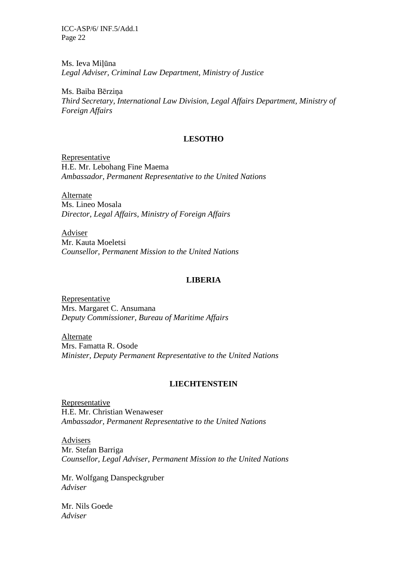Ms. Ieva Miļūna *Legal Adviser, Criminal Law Department, Ministry of Justice* 

Ms. Baiba Bērzina *Third Secretary, International Law Division, Legal Affairs Department, Ministry of Foreign Affairs* 

### **LESOTHO**

Representative H.E. Mr. Lebohang Fine Maema *Ambassador, Permanent Representative to the United Nations* 

Alternate Ms. Lineo Mosala *Director, Legal Affairs, Ministry of Foreign Affairs* 

Adviser Mr. Kauta Moeletsi *Counsellor, Permanent Mission to the United Nations*

### **LIBERIA**

Representative Mrs. Margaret C. Ansumana *Deputy Commissioner, Bureau of Maritime Affairs* 

Alternate Mrs. Famatta R. Osode *Minister, Deputy Permanent Representative to the United Nations*

#### **LIECHTENSTEIN**

Representative H.E. Mr. Christian Wenaweser *Ambassador, Permanent Representative to the United Nations* 

Advisers Mr. Stefan Barriga *Counsellor, Legal Adviser*, *Permanent Mission to the United Nations* 

Mr. Wolfgang Danspeckgruber *Adviser* 

Mr. Nils Goede *Adviser*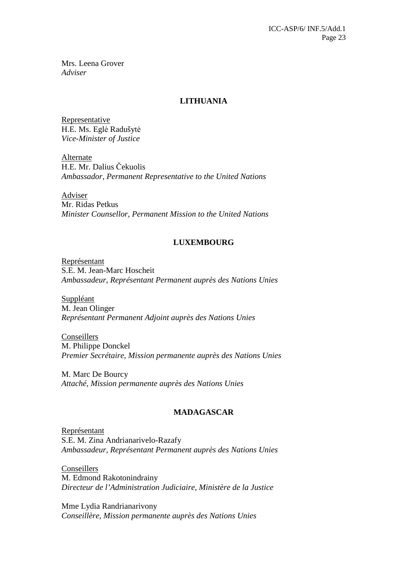Mrs. Leena Grover *Adviser* 

### **LITHUANIA**

Representative H.E. Ms. Eglė Radušytė *Vice-Minister of Justice*

Alternate H.E. Mr. Dalius Čekuolis *Ambassador, Permanent Representative to the United Nations* 

Adviser Mr. Ridas Petkus *Minister Counsellor, Permanent Mission to the United Nations* 

### **LUXEMBOURG**

Représentant S.E. M. Jean-Marc Hoscheit *Ambassadeur, Représentant Permanent auprès des Nations Unies* 

Suppléant M. Jean Olinger *Représentant Permanent Adjoint auprès des Nations Unies* 

Conseillers M. Philippe Donckel *Premier Secrétaire, Mission permanente auprès des Nations Unies* 

M. Marc De Bourcy *Attaché, Mission permanente auprès des Nations Unies*

### **MADAGASCAR**

Représentant S.E. M. Zina Andrianarivelo-Razafy *Ambassadeur, Représentant Permanent auprès des Nations Unies* 

Conseillers M. Edmond Rakotonindrainy *Directeur de l'Administration Judiciaire, Ministère de la Justice* 

Mme Lydia Randrianarivony *Conseillère, Mission permanente auprès des Nations Unies*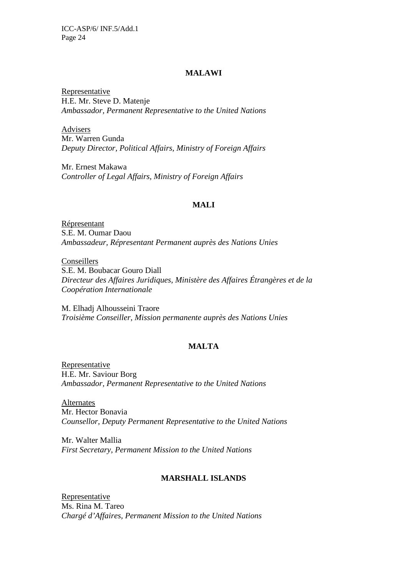#### **MALAWI**

Representative H.E. Mr. Steve D. Matenje *Ambassador, Permanent Representative to the United Nations* 

Advisers Mr. Warren Gunda *Deputy Director, Political Affairs, Ministry of Foreign Affairs* 

Mr. Ernest Makawa *Controller of Legal Affairs, Ministry of Foreign Affairs*

#### **MALI**

Répresentant S.E. M. Oumar Daou *Ambassadeur, Répresentant Permanent auprès des Nations Unies* 

Conseillers S.E. M. Boubacar Gouro Diall *Directeur des Affaires Juridiques, Ministère des Affaires Étrangères et de la Coopération Internationale* 

M. Elhadj Alhousseini Traore *Troisième Conseiller, Mission permanente auprès des Nations Unies* 

# **MALTA**

Representative H.E. Mr. Saviour Borg *Ambassador, Permanent Representative to the United Nations* 

Alternates Mr. Hector Bonavia *Counsellor, Deputy Permanent Representative to the United Nations* 

Mr. Walter Mallia *First Secretary, Permanent Mission to the United Nations*

### **MARSHALL ISLANDS**

Representative Ms. Rina M. Tareo *Chargé d'Affaires, Permanent Mission to the United Nations*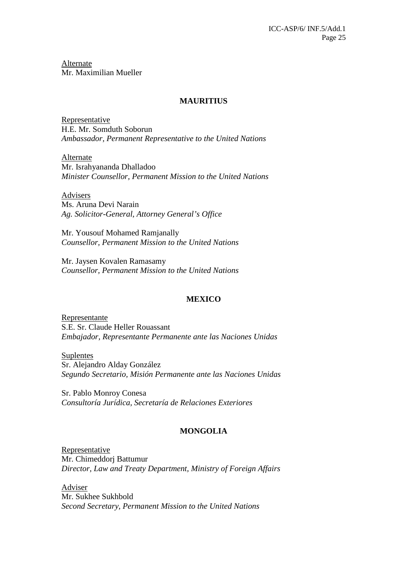Alternate Mr. Maximilian Mueller

#### **MAURITIUS**

Representative H.E. Mr. Somduth Soborun *Ambassador, Permanent Representative to the United Nations* 

Alternate Mr. Israhyananda Dhalladoo *Minister Counsellor, Permanent Mission to the United Nations* 

Advisers

Ms. Aruna Devi Narain *Ag. Solicitor-General, Attorney General's Office* 

Mr. Yousouf Mohamed Ramjanally *Counsellor, Permanent Mission to the United Nations*

Mr. Jaysen Kovalen Ramasamy *Counsellor, Permanent Mission to the United Nations*

# **MEXICO**

Representante S.E. Sr. Claude Heller Rouassant *Embajador, Representante Permanente ante las Naciones Unidas* 

Suplentes Sr. Alejandro Alday González *Segundo Secretario, Misión Permanente ante las Naciones Unidas* 

Sr. Pablo Monroy Conesa *Consultoría Jurídica, Secretaría de Relaciones Exteriores* 

# **MONGOLIA**

Representative Mr. Chimeddorj Battumur *Director, Law and Treaty Department, Ministry of Foreign Affairs* 

Adviser Mr. Sukhee Sukhbold *Second Secretary, Permanent Mission to the United Nations*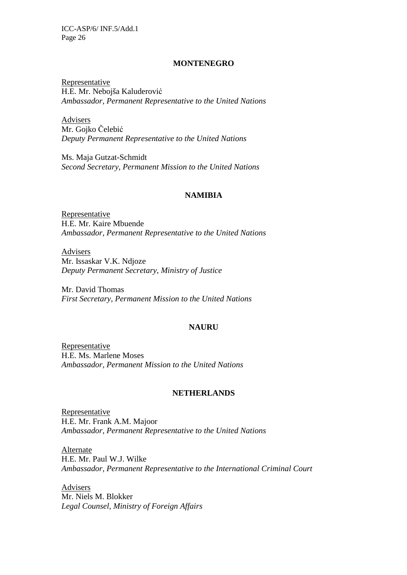#### **MONTENEGRO**

Representative H.E. Mr. Nebojša Kaluderović *Ambassador, Permanent Representative to the United Nations* 

Advisers Mr. Gojko Čelebić *Deputy Permanent Representative to the United Nations* 

Ms. Maja Gutzat-Schmidt *Second Secretary, Permanent Mission to the United Nations*

#### **NAMIBIA**

Representative H.E. Mr. Kaire Mbuende *Ambassador, Permanent Representative to the United Nations* 

Advisers Mr. Issaskar V.K. Ndjoze *Deputy Permanent Secretary, Ministry of Justice* 

Mr. David Thomas *First Secretary, Permanent Mission to the United Nations*

#### **NAURU**

Representative H.E. Ms. Marlene Moses *Ambassador, Permanent Mission to the United Nations*

#### **NETHERLANDS**

Representative H.E. Mr. Frank A.M. Majoor *Ambassador, Permanent Representative to the United Nations* 

Alternate H.E. Mr. Paul W.J. Wilke *Ambassador, Permanent Representative to the International Criminal Court* 

Advisers Mr. Niels M. Blokker *Legal Counsel, Ministry of Foreign Affairs*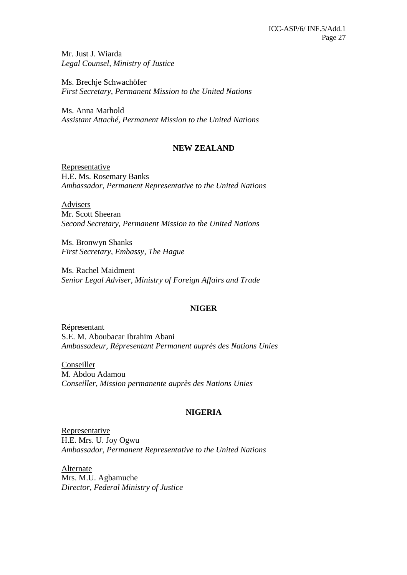Mr. Just J. Wiarda *Legal Counsel, Ministry of Justice* 

Ms. Brechje Schwachöfer *First Secretary, Permanent Mission to the United Nations* 

Ms. Anna Marhold *Assistant Attaché, Permanent Mission to the United Nations*

# **NEW ZEALAND**

**Representative** H.E. Ms. Rosemary Banks *Ambassador, Permanent Representative to the United Nations* 

Advisers Mr. Scott Sheeran *Second Secretary, Permanent Mission to the United Nations* 

Ms. Bronwyn Shanks *First Secretary, Embassy, The Hague* 

Ms. Rachel Maidment *Senior Legal Adviser, Ministry of Foreign Affairs and Trade*

### **NIGER**

Répresentant S.E. M. Aboubacar Ibrahim Abani *Ambassadeur, Répresentant Permanent auprès des Nations Unies* 

Conseiller M. Abdou Adamou *Conseiller, Mission permanente auprès des Nations Unies* 

# **NIGERIA**

Representative H.E. Mrs. U. Joy Ogwu *Ambassador, Permanent Representative to the United Nations*

Alternate Mrs. M.U. Agbamuche *Director, Federal Ministry of Justice*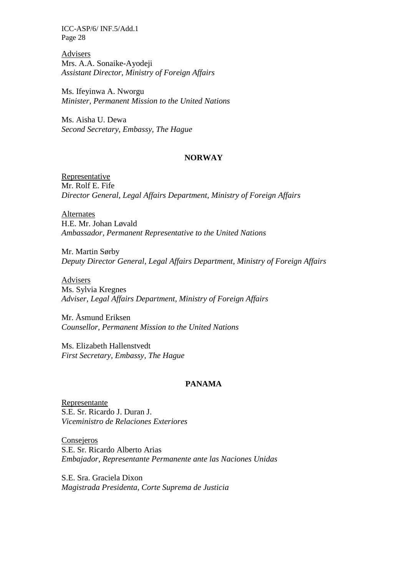Advisers Mrs. A.A. Sonaike-Ayodeji *Assistant Director, Ministry of Foreign Affairs* 

Ms. Ifeyinwa A. Nworgu *Minister, Permanent Mission to the United Nations*

Ms. Aisha U. Dewa *Second Secretary, Embassy, The Hague* 

#### **NORWAY**

Representative Mr. Rolf E. Fife *Director General, Legal Affairs Department, Ministry of Foreign Affairs* 

Alternates H.E. Mr. Johan Løvald *Ambassador, Permanent Representative to the United Nations* 

Mr. Martin Sørby *Deputy Director General, Legal Affairs Department, Ministry of Foreign Affairs* 

Advisers Ms. Sylvia Kregnes *Adviser, Legal Affairs Department, Ministry of Foreign Affairs* 

Mr. Åsmund Eriksen *Counsellor, Permanent Mission to the United Nations*

Ms. Elizabeth Hallenstvedt *First Secretary, Embassy, The Hague* 

#### **PANAMA**

Representante S.E. Sr. Ricardo J. Duran J. *Viceministro de Relaciones Exteriores* 

**Consejeros** S.E. Sr. Ricardo Alberto Arias *Embajador, Representante Permanente ante las Naciones Unidas* 

S.E. Sra. Graciela Dixon *Magistrada Presidenta, Corte Suprema de Justicia*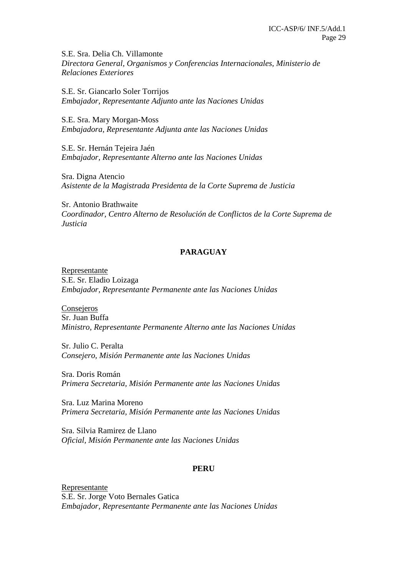S.E. Sra. Delia Ch. Villamonte *Directora General, Organismos y Conferencias Internacionales, Ministerio de Relaciones Exteriores* 

S.E. Sr. Giancarlo Soler Torrijos *Embajador, Representante Adjunto ante las Naciones Unidas* 

S.E. Sra. Mary Morgan-Moss *Embajadora, Representante Adjunta ante las Naciones Unidas* 

S.E. Sr. Hernán Tejeira Jaén *Embajador, Representante Alterno ante las Naciones Unidas* 

Sra. Digna Atencio *Asistente de la Magistrada Presidenta de la Corte Suprema de Justicia* 

Sr. Antonio Brathwaite *Coordinador, Centro Alterno de Resolución de Conflictos de la Corte Suprema de Justicia*

# **PARAGUAY**

Representante S.E. Sr. Eladio Loizaga *Embajador, Representante Permanente ante las Naciones Unidas* 

**Consejeros** Sr. Juan Buffa *Ministro, Representante Permanente Alterno ante las Naciones Unidas* 

Sr. Julio C. Peralta *Consejero, Misión Permanente ante las Naciones Unidas* 

Sra. Doris Román *Primera Secretaria, Misión Permanente ante las Naciones Unidas* 

Sra. Luz Marina Moreno *Primera Secretaria, Misión Permanente ante las Naciones Unidas* 

Sra. Silvia Ramirez de Llano *Oficial, Misión Permanente ante las Naciones Unidas*

# **PERU**

Representante S.E. Sr. Jorge Voto Bernales Gatica *Embajador, Representante Permanente ante las Naciones Unidas*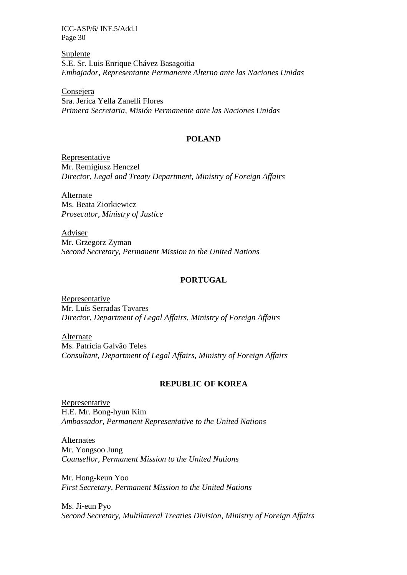Suplente S.E. Sr. Luis Enrique Chávez Basagoitia *Embajador, Representante Permanente Alterno ante las Naciones Unidas* 

**Consejera** Sra. Jerica Yella Zanelli Flores *Primera Secretaria, Misión Permanente ante las Naciones Unidas*

### **POLAND**

Representative Mr. Remigiusz Henczel *Director, Legal and Treaty Department, Ministry of Foreign Affairs* 

Alternate Ms. Beata Ziorkiewicz *Prosecutor, Ministry of Justice* 

Adviser Mr. Grzegorz Zyman *Second Secretary, Permanent Mission to the United Nations* 

### **PORTUGAL**

Representative Mr. Luís Serradas Tavares *Director, Department of Legal Affairs, Ministry of Foreign Affairs* 

Alternate Ms. Patrícia Galvão Teles *Consultant, Department of Legal Affairs, Ministry of Foreign Affairs* 

#### **REPUBLIC OF KOREA**

Representative H.E. Mr. Bong-hyun Kim *Ambassador, Permanent Representative to the United Nations* 

Alternates Mr. Yongsoo Jung *Counsellor, Permanent Mission to the United Nations*

Mr. Hong-keun Yoo *First Secretary, Permanent Mission to the United Nations* 

Ms. Ji-eun Pyo *Second Secretary, Multilateral Treaties Division, Ministry of Foreign Affairs*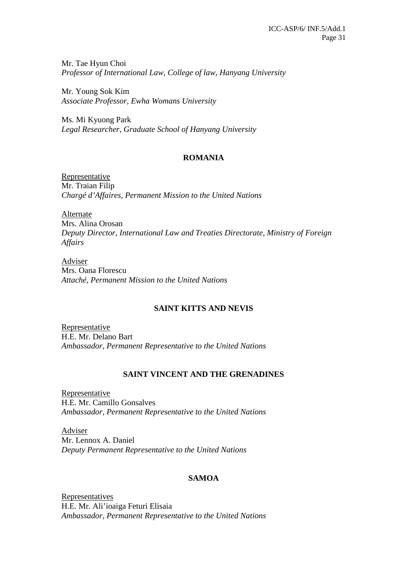Mr. Tae Hyun Choi *Professor of International Law, College of law, Hanyang University* 

Mr. Young Sok Kim *Associate Professor, Ewha Womans University* 

Ms. Mi Kyuong Park *Legal Researcher, Graduate School of Hanyang University* 

### **ROMANIA**

Representative Mr. Traian Filip *Chargé d'Affaires, Permanent Mission to the United Nations* 

Alternate Mrs. Alina Orosan *Deputy Director, International Law and Treaties Directorate, Ministry of Foreign Affairs* 

Adviser Mrs. Oana Florescu *Attaché, Permanent Mission to the United Nations* 

# **SAINT KITTS AND NEVIS**

Representative H.E. Mr. Delano Bart *Ambassador, Permanent Representative to the United Nations*

### **SAINT VINCENT AND THE GRENADINES**

Representative H.E. Mr. Camillo Gonsalves *Ambassador, Permanent Representative to the United Nations* 

Adviser Mr. Lennox A. Daniel *Deputy Permanent Representative to the United Nations*

### **SAMOA**

Representatives H.E. Mr. Ali'ioaiga Feturi Elisaia *Ambassador, Permanent Representative to the United Nations*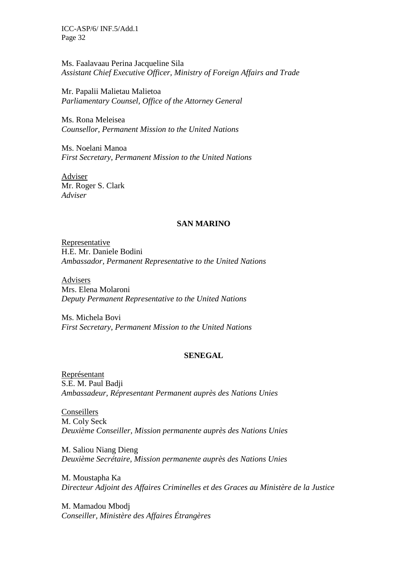Ms. Faalavaau Perina Jacqueline Sila *Assistant Chief Executive Officer, Ministry of Foreign Affairs and Trade* 

Mr. Papalii Malietau Malietoa *Parliamentary Counsel, Office of the Attorney General*

Ms. Rona Meleisea *Counsellor, Permanent Mission to the United Nations*

Ms. Noelani Manoa *First Secretary, Permanent Mission to the United Nations* 

Adviser Mr. Roger S. Clark *Adviser*

### **SAN MARINO**

**Representative** H.E. Mr. Daniele Bodini *Ambassador, Permanent Representative to the United Nations* 

Advisers Mrs. Elena Molaroni *Deputy Permanent Representative to the United Nations* 

Ms. Michela Bovi *First Secretary, Permanent Mission to the United Nations* 

#### **SENEGAL**

Représentant S.E. M. Paul Badji *Ambassadeur, Répresentant Permanent auprès des Nations Unies*

Conseillers M. Coly Seck *Deuxième Conseiller, Mission permanente auprès des Nations Unies* 

M. Saliou Niang Dieng *Deuxième Secrétaire, Mission permanente auprès des Nations Unies* 

M. Moustapha Ka *Directeur Adjoint des Affaires Criminelles et des Graces au Ministère de la Justice*

M. Mamadou Mbodj *Conseiller, Ministère des Affaires Étrangères*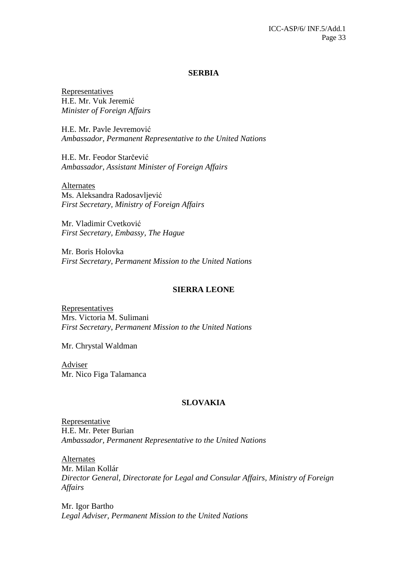#### **SERBIA**

Representatives H.E. Mr. Vuk Jeremić *Minister of Foreign Affairs* 

H.E. Mr. Pavle Jevremović *Ambassador, Permanent Representative to the United Nations* 

H.E. Mr. Feodor Starčević *Ambassador, Assistant Minister of Foreign Affairs* 

Alternates Ms. Aleksandra Radosavljević *First Secretary, Ministry of Foreign Affairs* 

Mr. Vladimir Cvetković *First Secretary, Embassy, The Hague* 

Mr. Boris Holovka *First Secretary, Permanent Mission to the United Nations* 

#### **SIERRA LEONE**

Representatives Mrs. Victoria M. Sulimani *First Secretary, Permanent Mission to the United Nations* 

Mr. Chrystal Waldman

Adviser Mr. Nico Figa Talamanca

### **SLOVAKIA**

Representative H.E. Mr. Peter Burian *Ambassador, Permanent Representative to the United Nations* 

Alternates Mr. Milan Kollár *Director General, Directorate for Legal and Consular Affairs, Ministry of Foreign Affairs* 

Mr. Igor Bartho *Legal Adviser, Permanent Mission to the United Nations*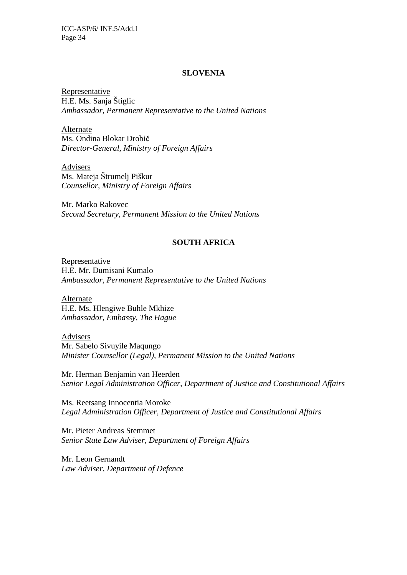#### **SLOVENIA**

Representative H.E. Ms. Sanja Štiglic *Ambassador, Permanent Representative to the United Nations* 

Alternate Ms. Ondina Blokar Drobič *Director-General, Ministry of Foreign Affairs* 

Advisers Ms. Mateja Štrumelj Piškur *Counsellor, Ministry of Foreign Affairs* 

Mr. Marko Rakovec *Second Secretary, Permanent Mission to the United Nations* 

# **SOUTH AFRICA**

Representative H.E. Mr. Dumisani Kumalo *Ambassador, Permanent Representative to the United Nations*

Alternate H.E. Ms. Hlengiwe Buhle Mkhize *Ambassador, Embassy, The Hague*

Advisers Mr. Sabelo Sivuyile Maqungo *Minister Counsellor (Legal), Permanent Mission to the United Nations* 

Mr. Herman Benjamin van Heerden *Senior Legal Administration Officer, Department of Justice and Constitutional Affairs*

Ms. Reetsang Innocentia Moroke *Legal Administration Officer, Department of Justice and Constitutional Affairs* 

Mr. Pieter Andreas Stemmet *Senior State Law Adviser, Department of Foreign Affairs*

Mr. Leon Gernandt *Law Adviser, Department of Defence*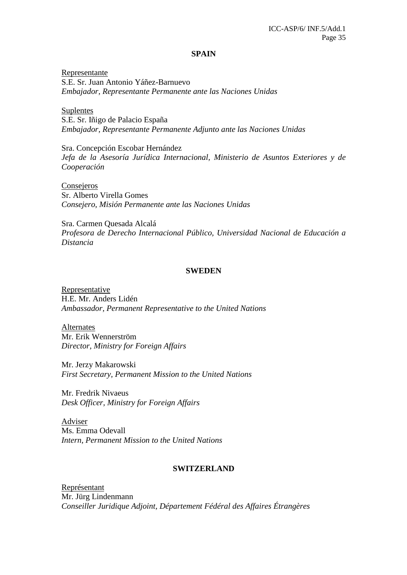#### **SPAIN**

Representante S.E. Sr. Juan Antonio Yáñez-Barnuevo *Embajador, Representante Permanente ante las Naciones Unidas* 

Suplentes S.E. Sr. Iñigo de Palacio España *Embajador, Representante Permanente Adjunto ante las Naciones Unidas* 

Sra. Concepción Escobar Hernández *Jefa de la Asesoría Jurídica Internacional, Ministerio de Asuntos Exteriores y de Cooperación* 

Consejeros Sr. Alberto Virella Gomes *Consejero, Misión Permanente ante las Naciones Unidas* 

Sra. Carmen Quesada Alcalá *Profesora de Derecho Internacional Público, Universidad Nacional de Educación a Distancia* 

#### **SWEDEN**

Representative H.E. Mr. Anders Lidén *Ambassador, Permanent Representative to the United Nations*

Alternates Mr. Erik Wennerström *Director, Ministry for Foreign Affairs* 

Mr. Jerzy Makarowski *First Secretary, Permanent Mission to the United Nations*

Mr. Fredrik Nivaeus *Desk Officer, Ministry for Foreign Affairs* 

Adviser Ms. Emma Odevall *Intern, Permanent Mission to the United Nations*

#### **SWITZERLAND**

Représentant Mr. Jürg Lindenmann *Conseiller Juridique Adjoint, Département Fédéral des Affaires Étrangères*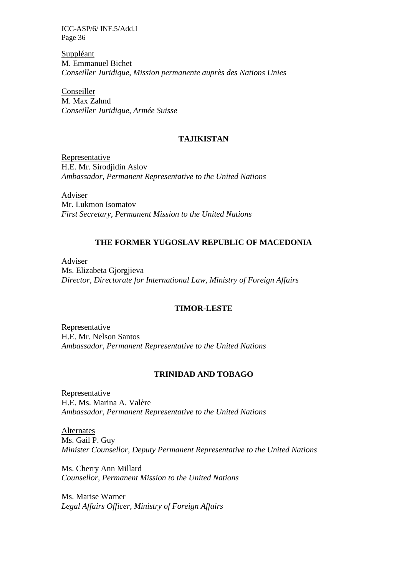Suppléant M. Emmanuel Bichet *Conseiller Juridique, Mission permanente auprès des Nations Unies*

Conseiller M. Max Zahnd *Conseiller Juridique, Armée Suisse* 

### **TAJIKISTAN**

Representative H.E. Mr. Sirodjidin Aslov *Ambassador, Permanent Representative to the United Nations* 

Adviser Mr. Lukmon Isomatov *First Secretary, Permanent Mission to the United Nations*

# **THE FORMER YUGOSLAV REPUBLIC OF MACEDONIA**

Adviser Ms. Elizabeta Gjorgjieva *Director, Directorate for International Law, Ministry of Foreign Affairs* 

### **TIMOR-LESTE**

Representative H.E. Mr. Nelson Santos *Ambassador, Permanent Representative to the United Nations*

### **TRINIDAD AND TOBAGO**

Representative H.E. Ms. Marina A. Valère *Ambassador, Permanent Representative to the United Nations* 

Alternates Ms. Gail P. Guy *Minister Counsellor, Deputy Permanent Representative to the United Nations*

Ms. Cherry Ann Millard *Counsellor, Permanent Mission to the United Nations*

Ms. Marise Warner *Legal Affairs Officer, Ministry of Foreign Affairs*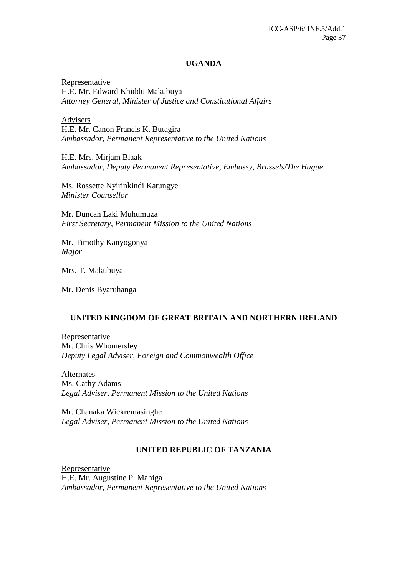#### **UGANDA**

Representative H.E. Mr. Edward Khiddu Makubuya *Attorney General, Minister of Justice and Constitutional Affairs* 

Advisers H.E. Mr. Canon Francis K. Butagira *Ambassador, Permanent Representative to the United Nations*

H.E. Mrs. Mirjam Blaak *Ambassador, Deputy Permanent Representative, Embassy, Brussels/The Hague* 

Ms. Rossette Nyirinkindi Katungye *Minister Counsellor* 

Mr. Duncan Laki Muhumuza *First Secretary, Permanent Mission to the United Nations* 

Mr. Timothy Kanyogonya *Major*

Mrs. T. Makubuya

Mr. Denis Byaruhanga

### **UNITED KINGDOM OF GREAT BRITAIN AND NORTHERN IRELAND**

Representative Mr. Chris Whomersley *Deputy Legal Adviser, Foreign and Commonwealth Office* 

Alternates Ms. Cathy Adams *Legal Adviser, Permanent Mission to the United Nations* 

Mr. Chanaka Wickremasinghe *Legal Adviser, Permanent Mission to the United Nations* 

#### **UNITED REPUBLIC OF TANZANIA**

Representative H.E. Mr. Augustine P. Mahiga *Ambassador, Permanent Representative to the United Nations*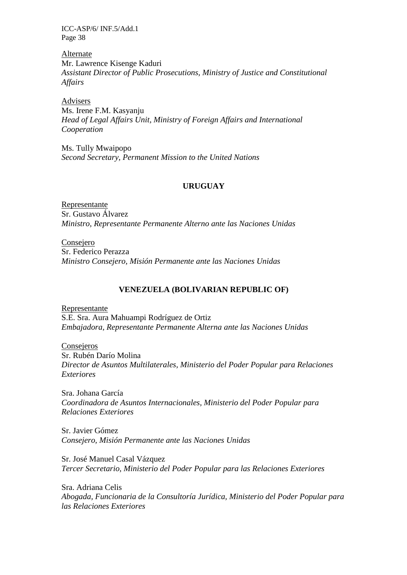Alternate Mr. Lawrence Kisenge Kaduri *Assistant Director of Public Prosecutions, Ministry of Justice and Constitutional Affairs* 

Advisers Ms. Irene F.M. Kasyanju *Head of Legal Affairs Unit, Ministry of Foreign Affairs and International Cooperation* 

Ms. Tully Mwaipopo *Second Secretary, Permanent Mission to the United Nations*

### **URUGUAY**

Representante Sr. Gustavo Álvarez *Ministro, Representante Permanente Alterno ante las Naciones Unidas* 

**Consejero** Sr. Federico Perazza *Ministro Consejero, Misión Permanente ante las Naciones Unidas* 

### **VENEZUELA (BOLIVARIAN REPUBLIC OF)**

Representante S.E. Sra. Aura Mahuampi Rodríguez de Ortiz *Embajadora, Representante Permanente Alterna ante las Naciones Unidas* 

**Consejeros** Sr. Rubén Darío Molina *Director de Asuntos Multilaterales, Ministerio del Poder Popular para Relaciones Exteriores* 

Sra. Johana García *Coordinadora de Asuntos Internacionales, Ministerio del Poder Popular para Relaciones Exteriores* 

Sr. Javier Gómez *Consejero, Misión Permanente ante las Naciones Unidas* 

Sr. José Manuel Casal Vázquez *Tercer Secretario, Ministerio del Poder Popular para las Relaciones Exteriores* 

Sra. Adriana Celis *Abogada, Funcionaria de la Consultoría Jurídica, Ministerio del Poder Popular para las Relaciones Exteriores*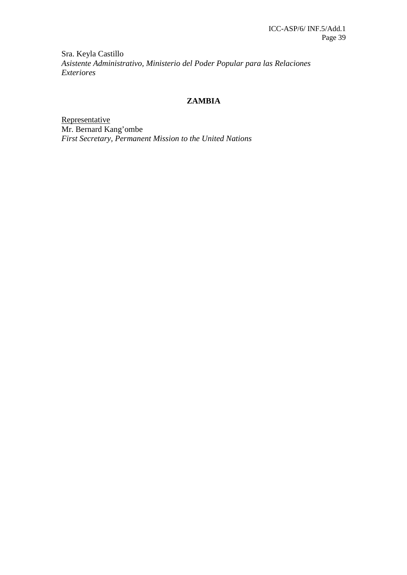Sra. Keyla Castillo *Asistente Administrativo, Ministerio del Poder Popular para las Relaciones Exteriores*

### **ZAMBIA**

**Representative** Mr. Bernard Kang'ombe *First Secretary, Permanent Mission to the United Nations*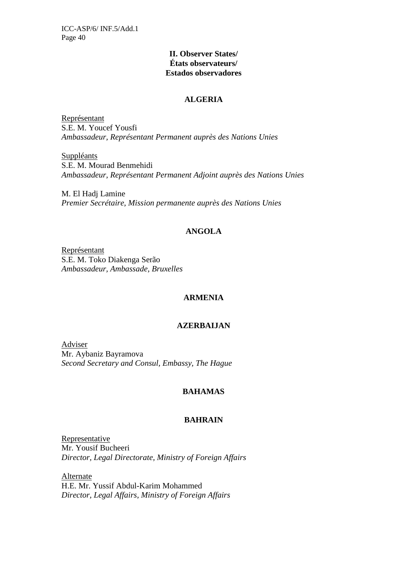### **II. Observer States/ États observateurs/ Estados observadores**

### **ALGERIA**

Représentant S.E. M. Youcef Yousfi *Ambassadeur, Représentant Permanent auprès des Nations Unies* 

**Suppléants** S.E. M. Mourad Benmehidi *Ambassadeur, Représentant Permanent Adjoint auprès des Nations Unies* 

M. El Hadj Lamine *Premier Secrétaire, Mission permanente auprès des Nations Unies*

### **ANGOLA**

Représentant S.E. M. Toko Diakenga Serão *Ambassadeur, Ambassade, Bruxelles* 

# **ARMENIA**

# **AZERBAIJAN**

Adviser Mr. Aybaniz Bayramova *Second Secretary and Consul, Embassy, The Hague* 

# **BAHAMAS**

### **BAHRAIN**

Representative Mr. Yousif Bucheeri *Director, Legal Directorate, Ministry of Foreign Affairs* 

Alternate H.E. Mr. Yussif Abdul-Karim Mohammed *Director, Legal Affairs, Ministry of Foreign Affairs*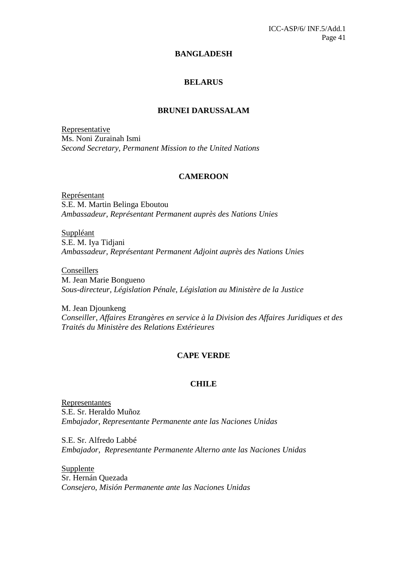#### **BANGLADESH**

### **BELARUS**

#### **BRUNEI DARUSSALAM**

Representative Ms. Noni Zurainah Ismi *Second Secretary, Permanent Mission to the United Nations*

#### **CAMEROON**

Représentant S.E. M. Martin Belinga Eboutou *Ambassadeur, Représentant Permanent auprès des Nations Unies* 

Suppléant S.E. M. Iya Tidjani *Ambassadeur, Représentant Permanent Adjoint auprès des Nations Unies* 

Conseillers M. Jean Marie Bongueno *Sous-directeur, Législation Pénale, Législation au Ministère de la Justice* 

M. Jean Djounkeng *Conseiller, Affaires Etrangères en service à la Division des Affaires Juridiques et des Traités du Ministère des Relations Extérieures* 

### **CAPE VERDE**

### **CHILE**

Representantes S.E. Sr. Heraldo Muñoz *Embajador, Representante Permanente ante las Naciones Unidas* 

S.E. Sr. Alfredo Labbé *Embajador, Representante Permanente Alterno ante las Naciones Unidas* 

Supplente Sr. Hernán Quezada *Consejero*, *Misión Permanente ante las Naciones Unidas*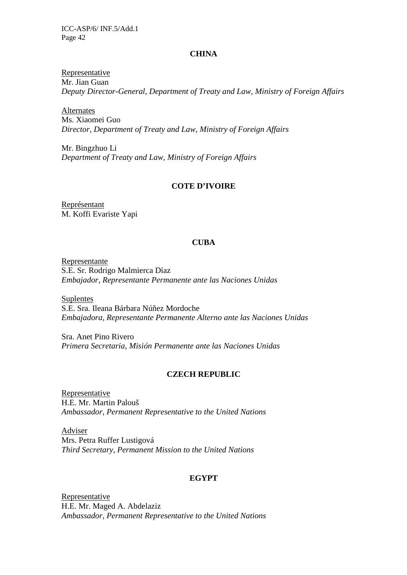#### **CHINA**

Representative Mr. Jian Guan *Deputy Director-General, Department of Treaty and Law, Ministry of Foreign Affairs* 

Alternates Ms. Xiaomei Guo *Director, Department of Treaty and Law, Ministry of Foreign Affairs* 

Mr. Bingzhuo Li *Department of Treaty and Law, Ministry of Foreign Affairs*

### **COTE D'IVOIRE**

Représentant M. Koffi Evariste Yapi

### **CUBA**

Representante S.E. Sr. Rodrigo Malmierca Díaz *Embajador, Representante Permanente ante las Naciones Unidas* 

Suplentes S.E. Sra. Ileana Bárbara Núñez Mordoche *Embajadora, Representante Permanente Alterno ante las Naciones Unidas*

Sra. Anet Pino Rivero *Primera Secretaria, Misión Permanente ante las Naciones Unidas*

#### **CZECH REPUBLIC**

Representative H.E. Mr. Martin Palouš *Ambassador, Permanent Representative to the United Nations* 

Adviser Mrs. Petra Ruffer Lustigová *Third Secretary, Permanent Mission to the United Nations*

### **EGYPT**

Representative H.E. Mr. Maged A. Abdelaziz *Ambassador, Permanent Representative to the United Nations*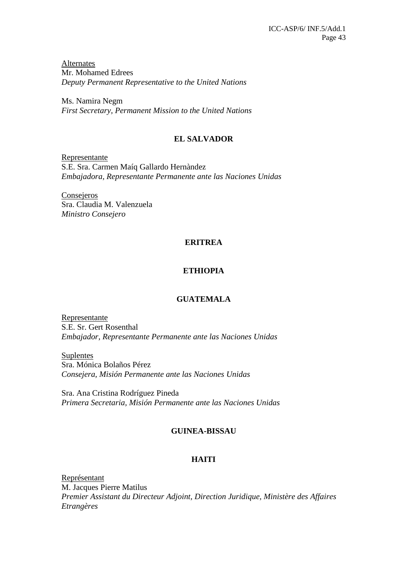**Alternates** Mr. Mohamed Edrees *Deputy Permanent Representative to the United Nations* 

Ms. Namira Negm *First Secretary, Permanent Mission to the United Nations* 

# **EL SALVADOR**

Representante S.E. Sra. Carmen Maíq Gallardo Hernàndez *Embajadora, Representante Permanente ante las Naciones Unidas* 

**Consejeros** Sra. Claudia M. Valenzuela *Ministro Consejero*

# **ERITREA**

# **ETHIOPIA**

# **GUATEMALA**

Representante S.E. Sr. Gert Rosenthal *Embajador, Representante Permanente ante las Naciones Unidas* 

Suplentes Sra. Mónica Bolaños Pérez *Consejera, Misión Permanente ante las Naciones Unidas* 

Sra. Ana Cristina Rodríguez Pineda *Primera Secretaria, Misión Permanente ante las Naciones Unidas* 

# **GUINEA-BISSAU**

# **HAITI**

Représentant M. Jacques Pierre Matilus *Premier Assistant du Directeur Adjoint, Direction Juridique, Ministère des Affaires Etrangères*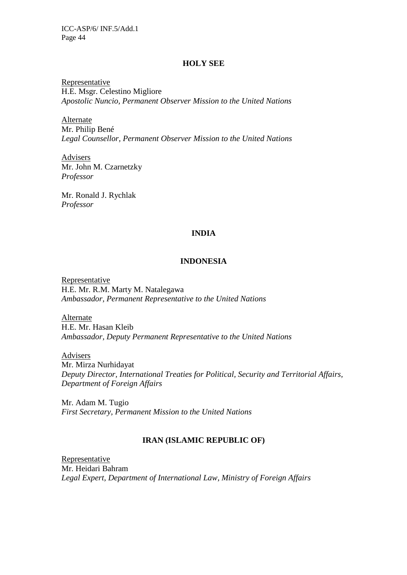#### **HOLY SEE**

Representative H.E. Msgr. Celestino Migliore *Apostolic Nuncio, Permanent Observer Mission to the United Nations* 

Alternate Mr. Philip Bené *Legal Counsellor, Permanent Observer Mission to the United Nations* 

Advisers Mr. John M. Czarnetzky *Professor* 

Mr. Ronald J. Rychlak *Professor*

### **INDIA**

### **INDONESIA**

Representative H.E. Mr. R.M. Marty M. Natalegawa *Ambassador, Permanent Representative to the United Nations* 

Alternate H.E. Mr. Hasan Kleib *Ambassador, Deputy Permanent Representative to the United Nations* 

Advisers Mr. Mirza Nurhidayat *Deputy Director, International Treaties for Political, Security and Territorial Affairs, Department of Foreign Affairs* 

Mr. Adam M. Tugio *First Secretary, Permanent Mission to the United Nations*

### **IRAN (ISLAMIC REPUBLIC OF)**

Representative Mr. Heidari Bahram *Legal Expert, Department of International Law, Ministry of Foreign Affairs*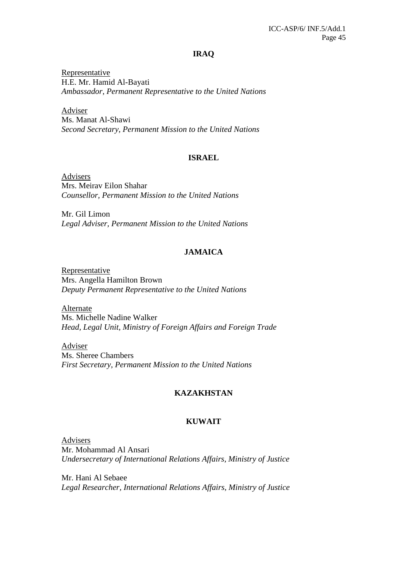### **IRAQ**

Representative H.E. Mr. Hamid Al-Bayati *Ambassador*, *Permanent Representative to the United Nations* 

Adviser Ms. Manat Al-Shawi *Second Secretary, Permanent Mission to the United Nations* 

### **ISRAEL**

Advisers Mrs. Meirav Eilon Shahar *Counsellor, Permanent Mission to the United Nations* 

Mr. Gil Limon *Legal Adviser, Permanent Mission to the United Nations* 

# **JAMAICA**

Representative Mrs. Angella Hamilton Brown *Deputy Permanent Representative to the United Nations* 

Alternate Ms. Michelle Nadine Walker *Head, Legal Unit, Ministry of Foreign Affairs and Foreign Trade* 

Adviser Ms. Sheree Chambers *First Secretary, Permanent Mission to the United Nations*

### **KAZAKHSTAN**

### **KUWAIT**

Advisers Mr. Mohammad Al Ansari *Undersecretary of International Relations Affairs, Ministry of Justice* 

Mr. Hani Al Sebaee *Legal Researcher, International Relations Affairs, Ministry of Justice*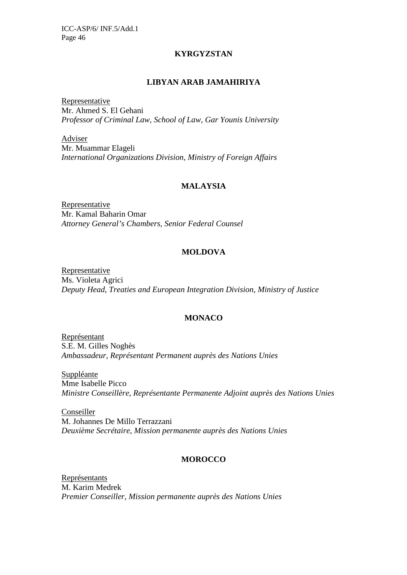### **KYRGYZSTAN**

### **LIBYAN ARAB JAMAHIRIYA**

Representative Mr. Ahmed S. El Gehani *Professor of Criminal Law, School of Law, Gar Younis University* 

Adviser Mr. Muammar Elageli *International Organizations Division, Ministry of Foreign Affairs*

# **MALAYSIA**

Representative Mr. Kamal Baharin Omar *Attorney General's Chambers, Senior Federal Counsel*

# **MOLDOVA**

Representative Ms. Violeta Agrici *Deputy Head, Treaties and European Integration Division, Ministry of Justice*

# **MONACO**

Représentant S.E. M. Gilles Noghès *Ambassadeur, Représentant Permanent auprès des Nations Unies* 

Suppléante Mme Isabelle Picco *Ministre Conseillère, Représentante Permanente Adjoint auprès des Nations Unies* 

Conseiller M. Johannes De Millo Terrazzani *Deuxième Secrétaire, Mission permanente auprès des Nations Unies*

# **MOROCCO**

Représentants M. Karim Medrek *Premier Conseiller, Mission permanente auprès des Nations Unies*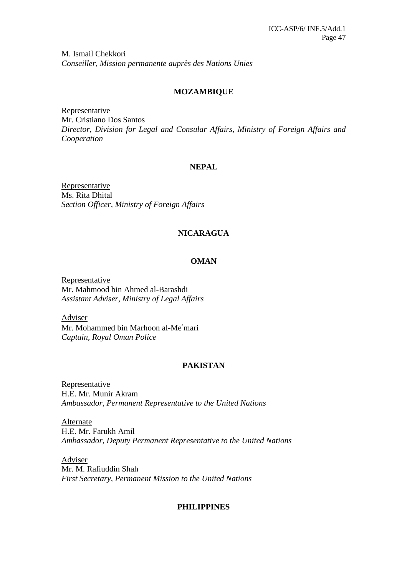M. Ismail Chekkori *Conseiller, Mission permanente auprès des Nations Unies* 

### **MOZAMBIQUE**

Representative Mr. Cristiano Dos Santos *Director, Division for Legal and Consular Affairs, Ministry of Foreign Affairs and Cooperation* 

# **NEPAL**

Representative Ms. Rita Dhital *Section Officer, Ministry of Foreign Affairs*

### **NICARAGUA**

### **OMAN**

Representative Mr. Mahmood bin Ahmed al-Barashdi *Assistant Adviser, Ministry of Legal Affairs* 

Adviser Mr. Mohammed bin Marhoon al-Me′mari *Captain, Royal Oman Police* 

# **PAKISTAN**

Representative H.E. Mr. Munir Akram *Ambassador, Permanent Representative to the United Nations* 

Alternate H.E. Mr. Farukh Amil *Ambassador, Deputy Permanent Representative to the United Nations* 

Adviser Mr. M. Rafiuddin Shah *First Secretary, Permanent Mission to the United Nations* 

### **PHILIPPINES**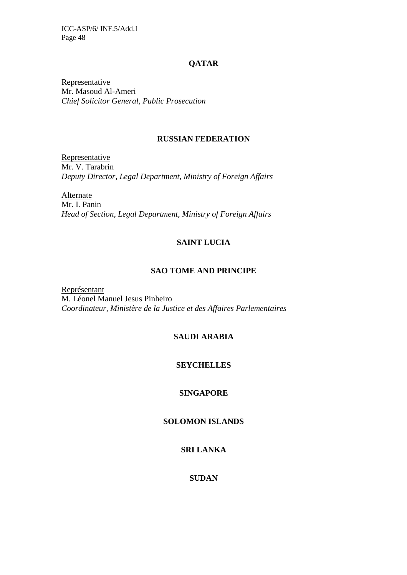### **QATAR**

**Representative** Mr. Masoud Al-Ameri *Chief Solicitor General, Public Prosecution* 

### **RUSSIAN FEDERATION**

**Representative** Mr. V. Tarabrin *Deputy Director, Legal Department, Ministry of Foreign Affairs*

**Alternate** Mr. I. Panin *Head of Section, Legal Department, Ministry of Foreign Affairs* 

# **SAINT LUCIA**

### **SAO TOME AND PRINCIPE**

Représentant M. Léonel Manuel Jesus Pinheiro *Coordinateur, Ministère de la Justice et des Affaires Parlementaires* 

# **SAUDI ARABIA**

### **SEYCHELLES**

### **SINGAPORE**

### **SOLOMON ISLANDS**

# **SRI LANKA**

# **SUDAN**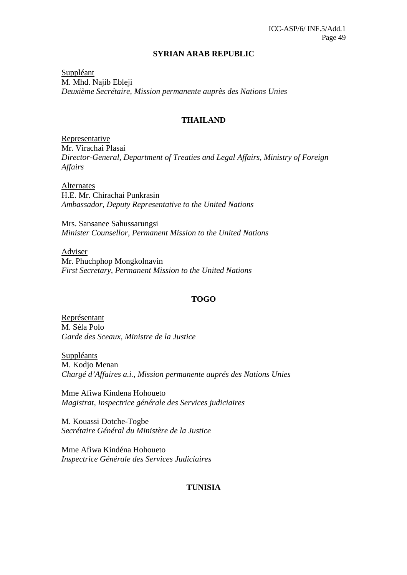#### **SYRIAN ARAB REPUBLIC**

Suppléant M. Mhd. Najib Ebleji *Deuxième Secrétaire, Mission permanente auprès des Nations Unies*

### **THAILAND**

Representative Mr. Virachai Plasai *Director-General, Department of Treaties and Legal Affairs, Ministry of Foreign Affairs* 

Alternates H.E. Mr. Chirachai Punkrasin *Ambassador, Deputy Representative to the United Nations* 

Mrs. Sansanee Sahussarungsi *Minister Counsellor, Permanent Mission to the United Nations* 

Adviser Mr. Phuchphop Mongkolnavin *First Secretary, Permanent Mission to the United Nations*

### **TOGO**

Représentant M. Séla Polo *Garde des Sceaux, Ministre de la Justice* 

**Suppléants** M. Kodjo Menan *Chargé d'Affaires a.i., Mission permanente auprés des Nations Unies* 

Mme Afiwa Kindena Hohoueto *Magistrat, Inspectrice générale des Services judiciaires* 

M. Kouassi Dotche-Togbe *Secrétaire Général du Ministère de la Justice* 

Mme Afiwa Kindéna Hohoueto *Inspectrice Générale des Services Judiciaires*

### **TUNISIA**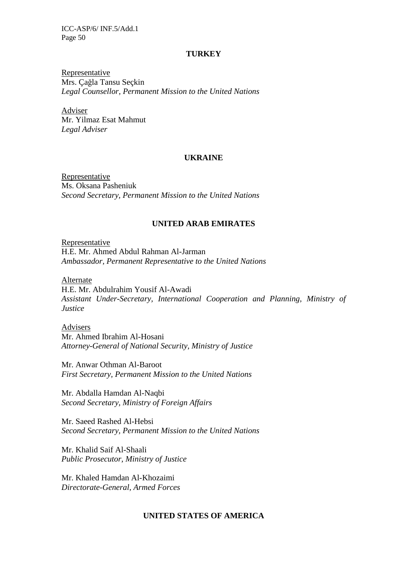#### **TURKEY**

Representative Mrs. Çağla Tansu Seçkin *Legal Counsellor, Permanent Mission to the United Nations* 

Adviser Mr. Yilmaz Esat Mahmut *Legal Adviser* 

#### **UKRAINE**

Representative Ms. Oksana Pasheniuk *Second Secretary, Permanent Mission to the United Nations* 

#### **UNITED ARAB EMIRATES**

**Representative** H.E. Mr. Ahmed Abdul Rahman Al-Jarman *Ambassador, Permanent Representative to the United Nations*

Alternate H.E. Mr. Abdulrahim Yousif Al-Awadi *Assistant Under-Secretary, International Cooperation and Planning, Ministry of Justice* 

Advisers Mr. Ahmed Ibrahim Al-Hosani *Attorney-General of National Security, Ministry of Justice* 

Mr. Anwar Othman Al-Baroot *First Secretary, Permanent Mission to the United Nations* 

Mr. Abdalla Hamdan Al-Naqbi *Second Secretary, Ministry of Foreign Affairs* 

Mr. Saeed Rashed Al-Hebsi *Second Secretary, Permanent Mission to the United Nations* 

Mr. Khalid Saif Al-Shaali *Public Prosecutor, Ministry of Justice* 

Mr. Khaled Hamdan Al-Khozaimi *Directorate-General, Armed Forces*

### **UNITED STATES OF AMERICA**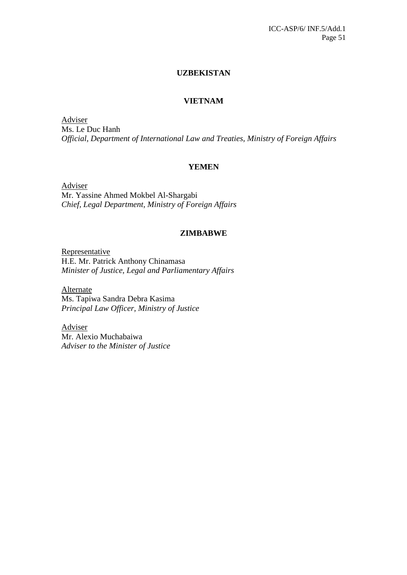### **UZBEKISTAN**

### **VIETNAM**

Adviser Ms. Le Duc Hanh *Official, Department of International Law and Treaties, Ministry of Foreign Affairs* 

### **YEMEN**

Adviser Mr. Yassine Ahmed Mokbel Al-Shargabi *Chief, Legal Department, Ministry of Foreign Affairs* 

### **ZIMBABWE**

Representative H.E. Mr. Patrick Anthony Chinamasa *Minister of Justice, Legal and Parliamentary Affairs* 

Alternate Ms. Tapiwa Sandra Debra Kasima *Principal Law Officer, Ministry of Justice* 

Adviser Mr. Alexio Muchabaiwa *Adviser to the Minister of Justice*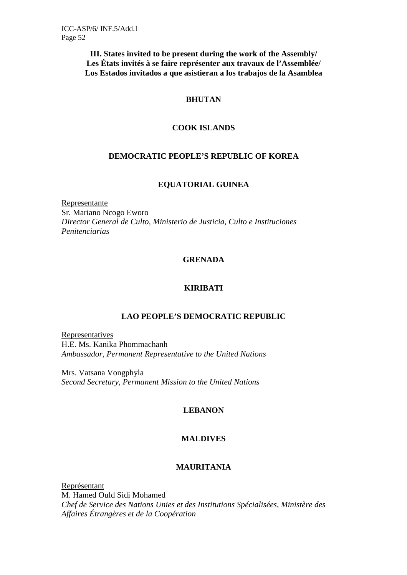**III. States invited to be present during the work of the Assembly/ Les États invités à se faire représenter aux travaux de l'Assemblée/ Los Estados invitados a que asistieran a los trabajos de la Asamblea** 

### **BHUTAN**

### **COOK ISLANDS**

### **DEMOCRATIC PEOPLE'S REPUBLIC OF KOREA**

### **EQUATORIAL GUINEA**

Representante Sr. Mariano Ncogo Eworo *Director General de Culto, Ministerio de Justicia, Culto e Instituciones Penitenciarias* 

# **GRENADA**

# **KIRIBATI**

# **LAO PEOPLE'S DEMOCRATIC REPUBLIC**

Representatives H.E. Ms. Kanika Phommachanh *Ambassador, Permanent Representative to the United Nations* 

Mrs. Vatsana Vongphyla *Second Secretary, Permanent Mission to the United Nations* 

### **LEBANON**

# **MALDIVES**

### **MAURITANIA**

Représentant M. Hamed Ould Sidi Mohamed *Chef de Service des Nations Unies et des Institutions Spécialisées, Ministère des Affaires Étrangères et de la Coopération*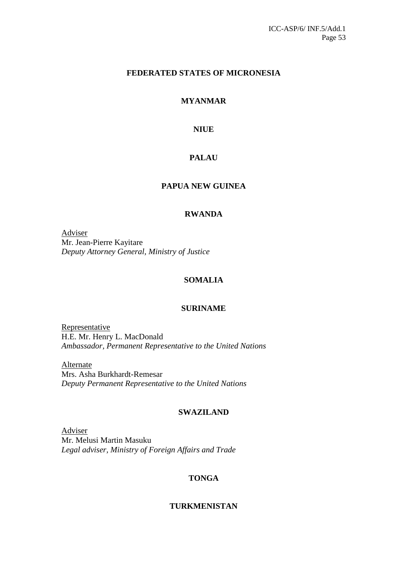### **FEDERATED STATES OF MICRONESIA**

# **MYANMAR**

### **NIUE**

# **PALAU**

# **PAPUA NEW GUINEA**

### **RWANDA**

Adviser Mr. Jean-Pierre Kayitare *Deputy Attorney General, Ministry of Justice*

### **SOMALIA**

### **SURINAME**

Representative H.E. Mr. Henry L. MacDonald *Ambassador, Permanent Representative to the United Nations* 

Alternate Mrs. Asha Burkhardt-Remesar *Deputy Permanent Representative to the United Nations*

#### **SWAZILAND**

Adviser Mr. Melusi Martin Masuku *Legal adviser, Ministry of Foreign Affairs and Trade*

### **TONGA**

### **TURKMENISTAN**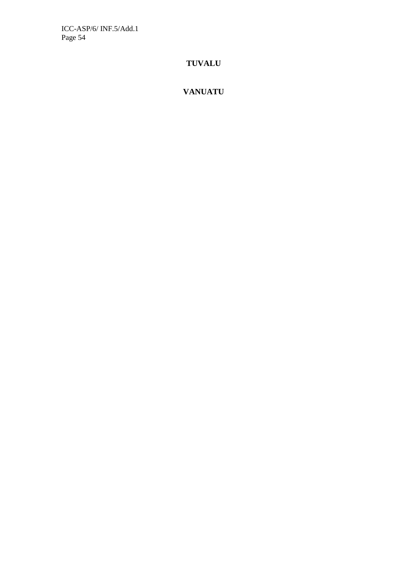# **TUVALU**

# **VANUATU**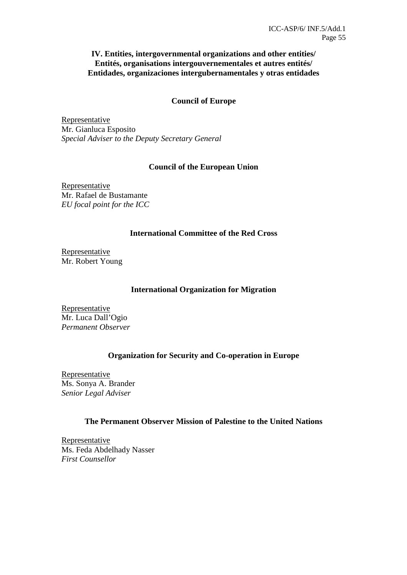### **IV. Entities, intergovernmental organizations and other entities/ Entités, organisations intergouvernementales et autres entités/ Entidades, organizaciones intergubernamentales y otras entidades**

### **Council of Europe**

Representative Mr. Gianluca Esposito *Special Adviser to the Deputy Secretary General* 

### **Council of the European Union**

Representative Mr. Rafael de Bustamante *EU focal point for the ICC*

### **International Committee of the Red Cross**

Representative Mr. Robert Young

### **International Organization for Migration**

Representative Mr. Luca Dall'Ogio *Permanent Observer* 

# **Organization for Security and Co-operation in Europe**

Representative Ms. Sonya A. Brander *Senior Legal Adviser* 

### **The Permanent Observer Mission of Palestine to the United Nations**

**Representative** Ms. Feda Abdelhady Nasser *First Counsellor*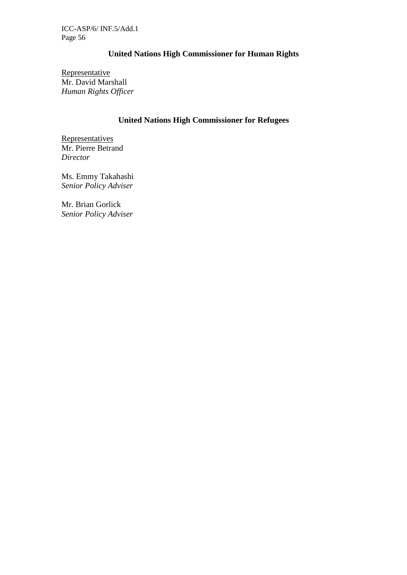# **United Nations High Commissioner for Human Rights**

Representative Mr. David Marshall *Human Rights Officer* 

# **United Nations High Commissioner for Refugees**

**Representatives** Mr. Pierre Betrand *Director* 

Ms. Emmy Takahashi *Senior Policy Adviser* 

Mr. Brian Gorlick *Senior Policy Adviser*